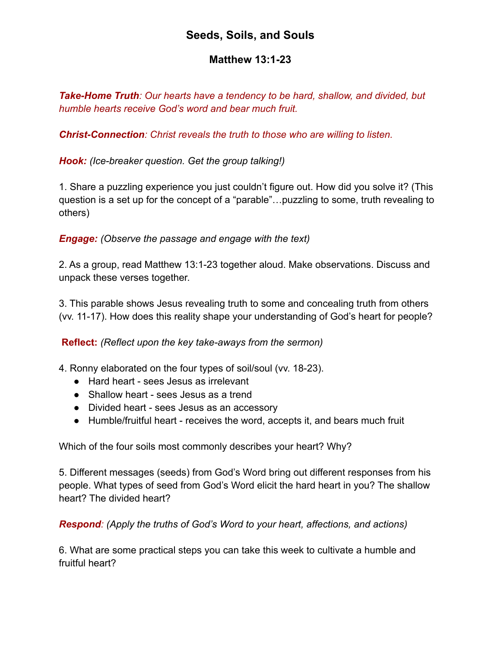## **Seeds, Soils, and Souls**

## **Matthew 13:1-23**

*Take-Home Truth: Our hearts have a tendency to be hard, shallow, and divided, but humble hearts receive God's word and bear much fruit.*

*Christ-Connection: Christ reveals the truth to those who are willing to listen.*

*Hook: (Ice-breaker question. Get the group talking!)*

1. Share a puzzling experience you just couldn't figure out. How did you solve it? (This question is a set up for the concept of a "parable"…puzzling to some, truth revealing to others)

*Engage: (Observe the passage and engage with the text)*

2. As a group, read Matthew 13:1-23 together aloud. Make observations. Discuss and unpack these verses together.

3. This parable shows Jesus revealing truth to some and concealing truth from others (vv. 11-17). How does this reality shape your understanding of God's heart for people?

**Reflect:** *(Reflect upon the key take-aways from the sermon)*

4. Ronny elaborated on the four types of soil/soul (vv. 18-23).

- Hard heart sees Jesus as irrelevant
- Shallow heart sees Jesus as a trend
- Divided heart sees Jesus as an accessory
- Humble/fruitful heart receives the word, accepts it, and bears much fruit

Which of the four soils most commonly describes your heart? Why?

5. Different messages (seeds) from God's Word bring out different responses from his people. What types of seed from God's Word elicit the hard heart in you? The shallow heart? The divided heart?

*Respond: (Apply the truths of God's Word to your heart, affections, and actions)*

6. What are some practical steps you can take this week to cultivate a humble and fruitful heart?